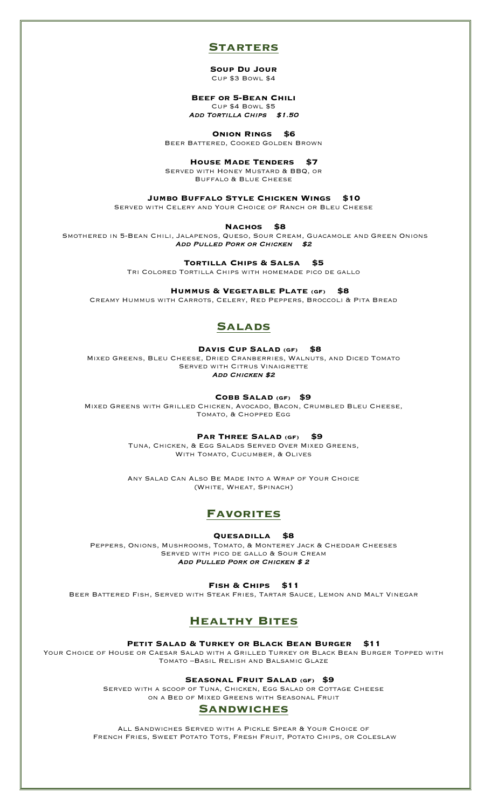### **Starters**

**Soup Du Jour** Cup \$3 Bowl \$4

**Beef or 5-Bean Chili** Cup \$4 Bowl \$5

ADD TORTILLA CHIPS \$1.50

 **Onion Rings \$6**

Beer Battered, Cooked Golden Brown

 **House Made Tenders \$7**

Served with Honey Mustard & BBQ, or Buffalo & Blue Cheese

 **Jumbo Buffalo Style Chicken Wings \$10**

Served with Celery and Your Choice of Ranch or Bleu Cheese

 **Nachos \$8**

Smothered in 5-Bean Chili, Jalapenos, Queso, Sour Cream, Guacamole and Green Onions ADD PULLED PORK OR CHICKEN \$2

 **Tortilla Chips & Salsa \$5**

Tri Colored Tortilla Chips with homemade pico de gallo

 **Hummus & Vegetable Plate (GF) \$8**

Creamy Hummus with Carrots, Celery, Red Peppers, Broccoli & Pita Bread

# **Salads**

#### **Davis Cup Salad (GF) \$8**

Mixed Greens, Bleu Cheese, Dried Cranberries, Walnuts, and Diced Tomato SERVED WITH CITRUS VINAIGRETTE ADD CHICKEN \$2

 **Cobb Salad (GF) \$9**

Mixed Greens with Grilled Chicken, Avocado, Bacon, Crumbled Bleu Cheese, Tomato, & Chopped Egg

 **Par Three Salad (GF) \$9**

Tuna, Chicken, & Egg Salads Served Over Mixed Greens, WITH TOMATO, CUCUMBER, & OLIVES

Any Salad Can Also Be Made Into a Wrap of Your Choice (White, Wheat, Spinach)

# **Favorites**

 **Quesadilla \$8**

Peppers, Onions, Mushrooms, Tomato, & Monterey Jack & Cheddar Cheeses Served with pico de gallo & Sour Cream ADD PULLED PORK OR CHICKEN \$2

 **Fish & Chips \$11**

Beer Battered Fish, Served with Steak Fries, Tartar Sauce, Lemon and Malt Vinegar

# **Healthy Bites**

 **Petit Salad & Turkey or Black Bean Burger \$11**

YOUR CHOICE OF HOUSE OR CAESAR SALAD WITH A GRILLED TURKEY OR BLACK BEAN BURGER TOPPED WITH Tomato –Basil Relish and Balsamic Glaze

 **Seasonal Fruit Salad (GF) \$9**

SERVED WITH A SCOOP OF TUNA, CHICKEN, EGG SALAD OR COTTAGE CHEESE on a Bed of Mixed Greens with Seasonal Fruit

# **Sandwiches**

All Sandwiches Served with a Pickle Spear & Your Choice of French Fries, Sweet Potato Tots, Fresh Fruit, Potato Chips, or Coleslaw